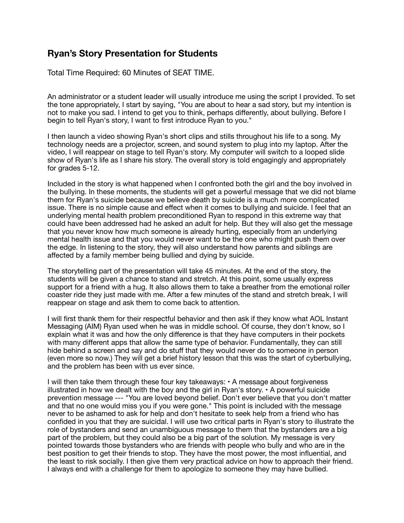## **Ryan's Story Presentation for Students**

Total Time Required: 60 Minutes of SEAT TIME.

An administrator or a student leader will usually introduce me using the script I provided. To set the tone appropriately, I start by saying, "You are about to hear a sad story, but my intention is not to make you sad. I intend to get you to think, perhaps differently, about bullying. Before I begin to tell Ryan's story, I want to first introduce Ryan to you."

I then launch a video showing Ryan's short clips and stills throughout his life to a song. My technology needs are a projector, screen, and sound system to plug into my laptop. After the video, I will reappear on stage to tell Ryan's story. My computer will switch to a looped slide show of Ryan's life as I share his story. The overall story is told engagingly and appropriately for grades 5-12.

Included in the story is what happened when I confronted both the girl and the boy involved in the bullying. In these moments, the students will get a powerful message that we did not blame them for Ryan's suicide because we believe death by suicide is a much more complicated issue. There is no simple cause and effect when it comes to bullying and suicide. I feel that an underlying mental health problem preconditioned Ryan to respond in this extreme way that could have been addressed had he asked an adult for help. But they will also get the message that you never know how much someone is already hurting, especially from an underlying mental health issue and that you would never want to be the one who might push them over the edge. In listening to the story, they will also understand how parents and siblings are affected by a family member being bullied and dying by suicide.

The storytelling part of the presentation will take 45 minutes. At the end of the story, the students will be given a chance to stand and stretch. At this point, some usually express support for a friend with a hug. It also allows them to take a breather from the emotional roller coaster ride they just made with me. After a few minutes of the stand and stretch break, I will reappear on stage and ask them to come back to attention.

I will first thank them for their respectful behavior and then ask if they know what AOL Instant Messaging (AIM) Ryan used when he was in middle school. Of course, they don't know, so I explain what it was and how the only difference is that they have computers in their pockets with many different apps that allow the same type of behavior. Fundamentally, they can still hide behind a screen and say and do stuff that they would never do to someone in person (even more so now.) They will get a brief history lesson that this was the start of cyberbullying, and the problem has been with us ever since.

I will then take them through these four key takeaways: • A message about forgiveness illustrated in how we dealt with the boy and the girl in Ryan's story. • A powerful suicide prevention message --- "You are loved beyond belief. Don't ever believe that you don't matter and that no one would miss you if you were gone." This point is included with the message never to be ashamed to ask for help and don't hesitate to seek help from a friend who has confided in you that they are suicidal. I will use two critical parts in Ryan's story to illustrate the role of bystanders and send an unambiguous message to them that the bystanders are a big part of the problem, but they could also be a big part of the solution. My message is very pointed towards those bystanders who are friends with people who bully and who are in the best position to get their friends to stop. They have the most power, the most influential, and the least to risk socially. I then give them very practical advice on how to approach their friend. I always end with a challenge for them to apologize to someone they may have bullied.